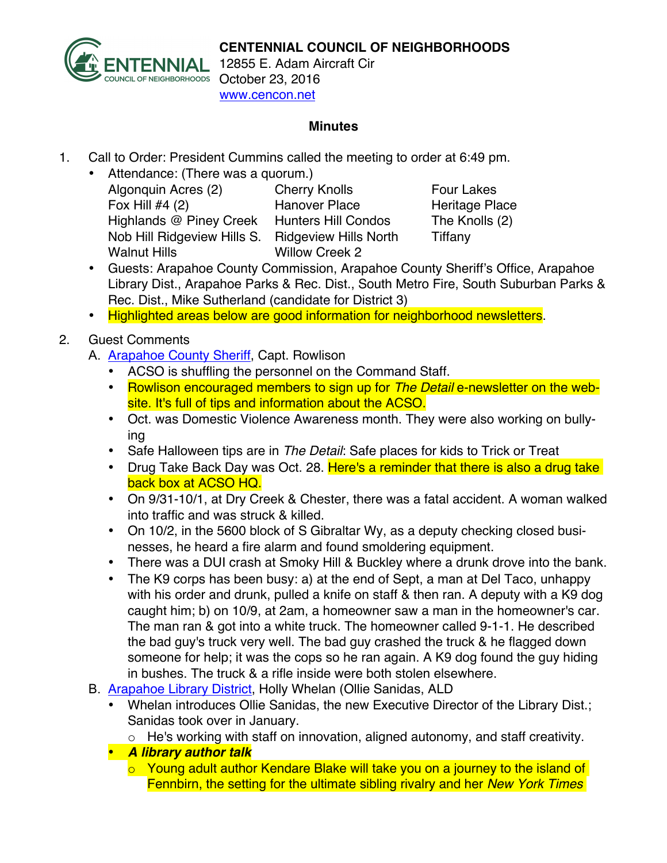

12855 E. Adam Aircraft Cir www.cencon.net

#### **Minutes**

- 1. Call to Order: President Cummins called the meeting to order at 6:49 pm.
	- Attendance: (There was a quorum.) Algonquin Acres (2) Cherry Knolls Four Lakes Fox Hill #4 (2) Hanover Place Heritage Place Highlands @ Piney Creek Hunters Hill Condos The Knolls (2) Nob Hill Ridgeview Hills S. Ridgeview Hills North Tiffany Walnut Hills Willow Creek 2

- Guests: Arapahoe County Commission, Arapahoe County Sheriff's Office, Arapahoe Library Dist., Arapahoe Parks & Rec. Dist., South Metro Fire, South Suburban Parks & Rec. Dist., Mike Sutherland (candidate for District 3)
- Highlighted areas below are good information for neighborhood newsletters.

# 2. Guest Comments

- A. Arapahoe County Sheriff, Capt. Rowlison
	- ACSO is shuffling the personnel on the Command Staff.
	- Rowlison encouraged members to sign up for *The Detail* e-newsletter on the website. It's full of tips and information about the ACSO.
	- Oct. was Domestic Violence Awareness month. They were also working on bullying
	- Safe Halloween tips are in *The Detail*: Safe places for kids to Trick or Treat
	- Drug Take Back Day was Oct. 28. Here's a reminder that there is also a drug take back box at ACSO HQ.
	- On 9/31-10/1, at Dry Creek & Chester, there was a fatal accident. A woman walked into traffic and was struck & killed.
	- On 10/2, in the 5600 block of S Gibraltar Wy, as a deputy checking closed businesses, he heard a fire alarm and found smoldering equipment.
	- There was a DUI crash at Smoky Hill & Buckley where a drunk drove into the bank.
	- The K9 corps has been busy: a) at the end of Sept, a man at Del Taco, unhappy with his order and drunk, pulled a knife on staff & then ran. A deputy with a K9 dog caught him; b) on 10/9, at 2am, a homeowner saw a man in the homeowner's car. The man ran & got into a white truck. The homeowner called 9-1-1. He described the bad guy's truck very well. The bad guy crashed the truck & he flagged down someone for help; it was the cops so he ran again. A K9 dog found the guy hiding in bushes. The truck & a rifle inside were both stolen elsewhere.
- B. Arapahoe Library District, Holly Whelan (Ollie Sanidas, ALD
	- Whelan introduces Ollie Sanidas, the new Executive Director of the Library Dist.; Sanidas took over in January.
		- o He's working with staff on innovation, aligned autonomy, and staff creativity.
	- *A library author talk*
		- o Young adult author Kendare Blake will take you on a journey to the island of Fennbirn, the setting for the ultimate sibling rivalry and her *New York Times*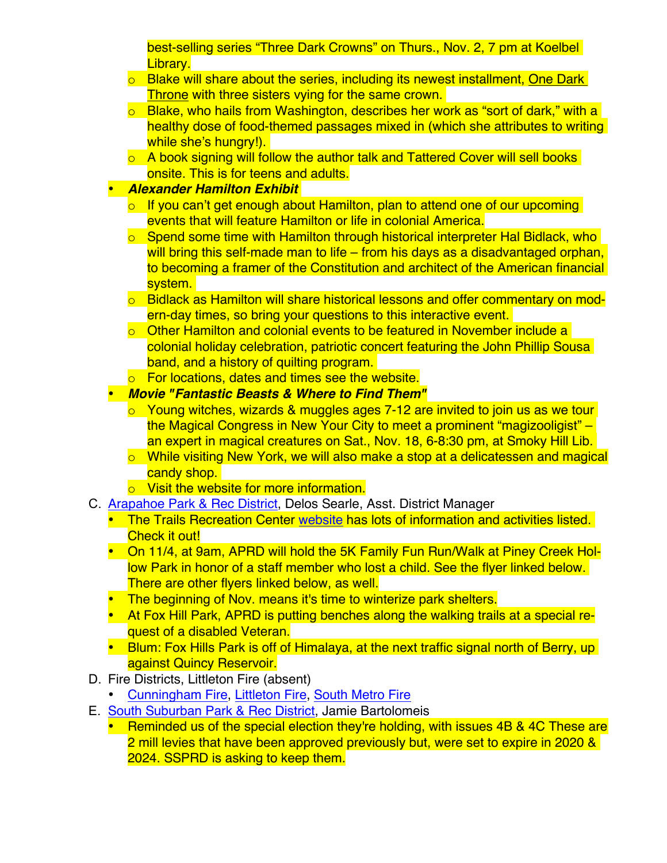best-selling series "Three Dark Crowns" on Thurs., Nov. 2, 7 pm at Koelbel Library.

- $\circ$  Blake will share about the series, including its newest installment, One Dark Throne with three sisters vying for the same crown.
- $\circ$  Blake, who hails from Washington, describes her work as "sort of dark," with a healthy dose of food-themed passages mixed in (which she attributes to writing while she's hungry!).
- $\circ$  A book signing will follow the author talk and Tattered Cover will sell books onsite. This is for teens and adults.

## • *Alexander Hamilton Exhibit*

- $\circ$  If you can't get enough about Hamilton, plan to attend one of our upcoming events that will feature Hamilton or life in colonial America.
- o Spend some time with Hamilton through historical interpreter Hal Bidlack, who will bring this self-made man to life – from his days as a disadvantaged orphan, to becoming a framer of the Constitution and architect of the American financial system.
- o Bidlack as Hamilton will share historical lessons and offer commentary on modern-day times, so bring your questions to this interactive event.
- $\circ$  Other Hamilton and colonial events to be featured in November include a colonial holiday celebration, patriotic concert featuring the John Phillip Sousa band, and a history of quilting program.
- o For locations, dates and times see the website.

### • *Movie "Fantastic Beasts & Where to Find Them"*

- o Young witches, wizards & muggles ages 7-12 are invited to join us as we tour the Magical Congress in New Your City to meet a prominent "magizooligist" – an expert in magical creatures on Sat., Nov. 18, 6-8:30 pm, at Smoky Hill Lib.
- o While visiting New York, we will also make a stop at a delicatessen and magical candy shop.
- o Visit the website for more information.
- C. Arapahoe Park & Rec District, Delos Searle, Asst. District Manager
	- The Trails Recreation Center website has lots of information and activities listed. Check it out!
	- On 11/4, at 9am, APRD will hold the 5K Family Fun Run/Walk at Piney Creek Hollow Park in honor of a staff member who lost a child. See the flyer linked below. There are other flyers linked below, as well.
	- The beginning of Nov. means it's time to winterize park shelters.
	- At Fox Hill Park, APRD is putting benches along the walking trails at a special request of a disabled Veteran.
	- Blum: Fox Hills Park is off of Himalaya, at the next traffic signal north of Berry, up against Quincy Reservoir.
- D. Fire Districts, Littleton Fire (absent)
	- Cunningham Fire, Littleton Fire, South Metro Fire
- E. South Suburban Park & Rec District, Jamie Bartolomeis
	- Reminded us of the special election they're holding, with issues 4B & 4C These are 2 mill levies that have been approved previously but, were set to expire in 2020 & 2024. SSPRD is asking to keep them.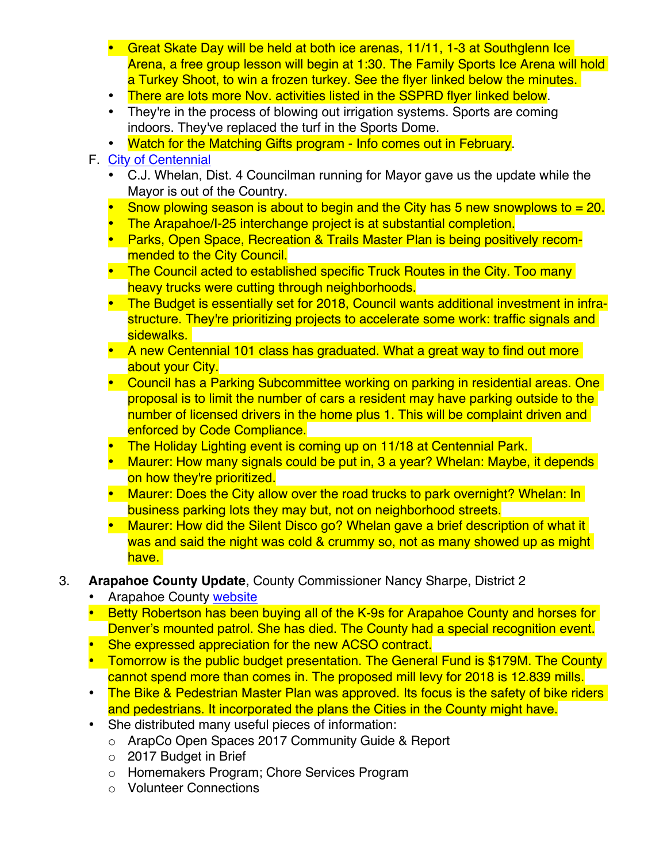- Great Skate Day will be held at both ice arenas, 11/11, 1-3 at Southglenn Ice Arena, a free group lesson will begin at 1:30. The Family Sports Ice Arena will hold a Turkey Shoot, to win a frozen turkey. See the flyer linked below the minutes.
- There are lots more Nov. activities listed in the SSPRD flyer linked below.
- They're in the process of blowing out irrigation systems. Sports are coming indoors. They've replaced the turf in the Sports Dome.
- Watch for the Matching Gifts program Info comes out in February.

## F. City of Centennial

- C.J. Whelan, Dist. 4 Councilman running for Mayor gave us the update while the Mayor is out of the Country.
- Snow plowing season is about to begin and the City has 5 new snowplows to  $= 20$ .
- The Arapahoe/I-25 interchange project is at substantial completion.
- Parks, Open Space, Recreation & Trails Master Plan is being positively recommended to the City Council.
- The Council acted to established specific Truck Routes in the City. Too many heavy trucks were cutting through neighborhoods.
- The Budget is essentially set for 2018, Council wants additional investment in infrastructure. They're prioritizing projects to accelerate some work: traffic signals and sidewalks.
- A new Centennial 101 class has graduated. What a great way to find out more about your City.
- Council has a Parking Subcommittee working on parking in residential areas. One proposal is to limit the number of cars a resident may have parking outside to the number of licensed drivers in the home plus 1. This will be complaint driven and enforced by Code Compliance.
- The Holiday Lighting event is coming up on 11/18 at Centennial Park.
- Maurer: How many signals could be put in, 3 a year? Whelan: Maybe, it depends on how they're prioritized.
- Maurer: Does the City allow over the road trucks to park overnight? Whelan: In business parking lots they may but, not on neighborhood streets.
- Maurer: How did the Silent Disco go? Whelan gave a brief description of what it was and said the night was cold & crummy so, not as many showed up as might have.
- 3. **Arapahoe County Update**, County Commissioner Nancy Sharpe, District 2
	- Arapahoe County website
	- Betty Robertson has been buying all of the K-9s for Arapahoe County and horses for Denver's mounted patrol. She has died. The County had a special recognition event.
	- She expressed appreciation for the new ACSO contract.
	- Tomorrow is the public budget presentation. The General Fund is \$179M. The County cannot spend more than comes in. The proposed mill levy for 2018 is 12.839 mills.
	- The Bike & Pedestrian Master Plan was approved. Its focus is the safety of bike riders and pedestrians. It incorporated the plans the Cities in the County might have.
	- She distributed many useful pieces of information:
		- o ArapCo Open Spaces 2017 Community Guide & Report
		- o 2017 Budget in Brief
		- o Homemakers Program; Chore Services Program
		- o Volunteer Connections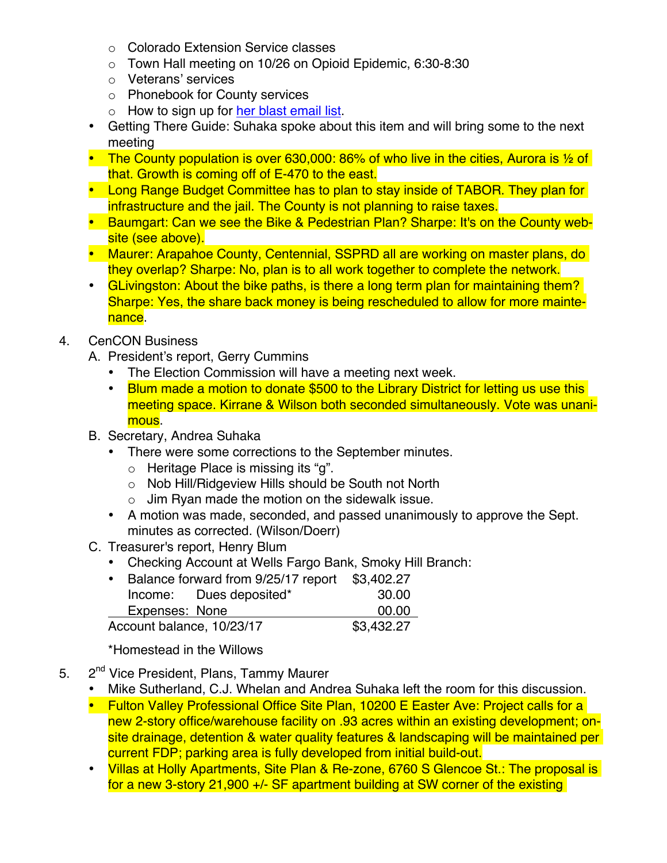- o Colorado Extension Service classes
- o Town Hall meeting on 10/26 on Opioid Epidemic, 6:30-8:30
- o Veterans' services
- o Phonebook for County services
- $\circ$  How to sign up for her blast email list.
- Getting There Guide: Suhaka spoke about this item and will bring some to the next meeting
- **The County population is over 630,000: 86% of who live in the cities, Aurora is**  $\frac{1}{2}$  **of** that. Growth is coming off of E-470 to the east.
- Long Range Budget Committee has to plan to stay inside of TABOR. They plan for infrastructure and the jail. The County is not planning to raise taxes.
- Baumgart: Can we see the Bike & Pedestrian Plan? Sharpe: It's on the County website (see above).
- Maurer: Arapahoe County, Centennial, SSPRD all are working on master plans, do they overlap? Sharpe: No, plan is to all work together to complete the network.
- GLivingston: About the bike paths, is there a long term plan for maintaining them? Sharpe: Yes, the share back money is being rescheduled to allow for more maintenance.

### 4. CenCON Business

- A. President's report, Gerry Cummins
	- The Election Commission will have a meeting next week.
	- Blum made a motion to donate \$500 to the Library District for letting us use this meeting space. Kirrane & Wilson both seconded simultaneously. Vote was unanimous.
- B. Secretary, Andrea Suhaka
	- There were some corrections to the September minutes.
		- o Heritage Place is missing its "g".
		- o Nob Hill/Ridgeview Hills should be South not North
		- $\circ$  Jim Ryan made the motion on the sidewalk issue.
	- A motion was made, seconded, and passed unanimously to approve the Sept. minutes as corrected. (Wilson/Doerr)
- C. Treasurer's report, Henry Blum
	- Checking Account at Wells Fargo Bank, Smoky Hill Branch:

|                           | • Balance forward from 9/25/17 report |                         | \$3,402.27 |
|---------------------------|---------------------------------------|-------------------------|------------|
|                           |                                       | Income: Dues deposited* | 30.00      |
|                           | Expenses: None                        |                         | 00.00      |
| Account balance, 10/23/17 |                                       |                         | \$3,432.27 |

\*Homestead in the Willows

- 5. 2<sup>nd</sup> Vice President, Plans, Tammy Maurer
	- Mike Sutherland, C.J. Whelan and Andrea Suhaka left the room for this discussion.
	- Fulton Valley Professional Office Site Plan, 10200 E Easter Ave: Project calls for a new 2-story office/warehouse facility on .93 acres within an existing development; onsite drainage, detention & water quality features & landscaping will be maintained per current FDP; parking area is fully developed from initial build-out.
	- Villas at Holly Apartments, Site Plan & Re-zone, 6760 S Glencoe St.: The proposal is for a new 3-story 21,900 +/- SF apartment building at SW corner of the existing